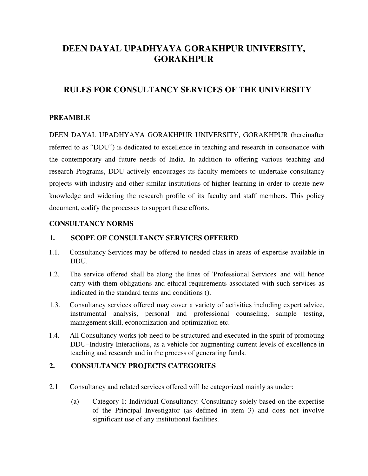## **DEEN DAYAL UPADHYAYA GORAKHPUR UNIVERSITY, GORAKHPUR**

## **RULES FOR CONSULTANCY SERVICES OF THE UNIVERSITY**

## **PREAMBLE**

DEEN DAYAL UPADHYAYA GORAKHPUR UNIVERSITY, GORAKHPUR (hereinafter referred to as "DDU") is dedicated to excellence in teaching and research in consonance with the contemporary and future needs of India. In addition to offering various teaching and research Programs, DDU actively encourages its faculty members to undertake consultancy projects with industry and other similar institutions of higher learning in order to create new knowledge and widening the research profile of its faculty and staff members. This policy document, codify the processes to support these efforts.

## **CONSULTANCY NORMS**

## **1. SCOPE OF CONSULTANCY SERVICES OFFERED**

- 1.1. Consultancy Services may be offered to needed class in areas of expertise available in DDU.
- 1.2. The service offered shall be along the lines of 'Professional Services' and will hence carry with them obligations and ethical requirements associated with such services as indicated in the standard terms and conditions ().
- 1.3. Consultancy services offered may cover a variety of activities including expert advice, instrumental analysis, personal and professional counseling, sample testing, management skill, economization and optimization etc.
- 1.4. All Consultancy works job need to be structured and executed in the spirit of promoting DDU–Industry Interactions, as a vehicle for augmenting current levels of excellence in teaching and research and in the process of generating funds.

## **2. CONSULTANCY PROJECTS CATEGORIES**

- 2.1 Consultancy and related services offered will be categorized mainly as under:
	- (a) Category 1: Individual Consultancy: Consultancy solely based on the expertise of the Principal Investigator (as defined in item 3) and does not involve significant use of any institutional facilities.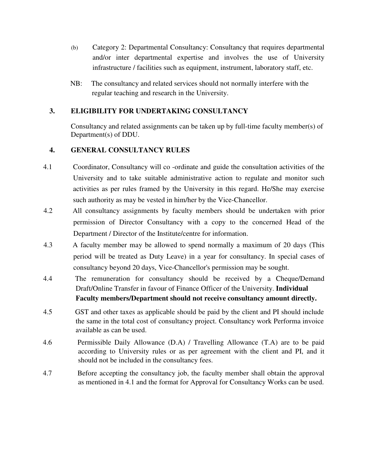- (b) Category 2: Departmental Consultancy: Consultancy that requires departmental and/or inter departmental expertise and involves the use of University infrastructure / facilities such as equipment, instrument, laboratory staff, etc.
- NB: The consultancy and related services should not normally interfere with the regular teaching and research in the University.

## **3. ELIGIBILITY FOR UNDERTAKING CONSULTANCY**

Consultancy and related assignments can be taken up by full-time faculty member(s) of Department(s) of DDU.

## **4. GENERAL CONSULTANCY RULES**

- 4.1 Coordinator, Consultancy will co -ordinate and guide the consultation activities of the University and to take suitable administrative action to regulate and monitor such activities as per rules framed by the University in this regard. He/She may exercise such authority as may be vested in him/her by the Vice-Chancellor.
- 4.2 All consultancy assignments by faculty members should be undertaken with prior permission of Director Consultancy with a copy to the concerned Head of the Department / Director of the Institute/centre for information.
- 4.3 A faculty member may be allowed to spend normally a maximum of 20 days (This period will be treated as Duty Leave) in a year for consultancy. In special cases of consultancy beyond 20 days, Vice-Chancellor's permission may be sought.
- 4.4 The remuneration for consultancy should be received by a Cheque/Demand Draft/Online Transfer in favour of Finance Officer of the University. **Individual Faculty members/Department should not receive consultancy amount directly.**
- 4.5 GST and other taxes as applicable should be paid by the client and PI should include the same in the total cost of consultancy project. Consultancy work Performa invoice available as can be used.
- 4.6 Permissible Daily Allowance (D.A) / Travelling Allowance (T.A) are to be paid according to University rules or as per agreement with the client and PI, and it should not be included in the consultancy fees.
- 4.7 Before accepting the consultancy job, the faculty member shall obtain the approval as mentioned in 4.1 and the format for Approval for Consultancy Works can be used.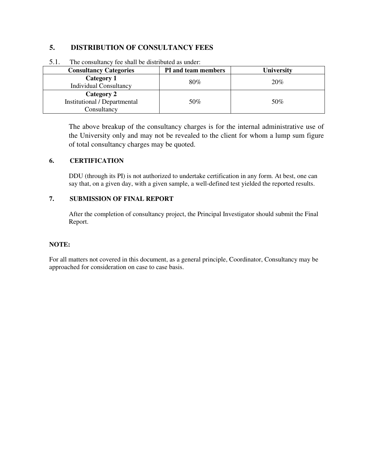### **5. DISTRIBUTION OF CONSULTANCY FEES**

| <u>.</u><br>The consultancy fee shall be distributed as under. |                     |                   |  |  |
|----------------------------------------------------------------|---------------------|-------------------|--|--|
| <b>Consultancy Categories</b>                                  | PI and team members | <b>University</b> |  |  |
| Category 1<br><b>Individual Consultancy</b>                    | 80%                 | 20%               |  |  |
| Category 2<br>Institutional / Departmental<br>Consultancy      | 50%                 | 50%               |  |  |

5.1. The consultancy fee shall be distributed as under:

The above breakup of the consultancy charges is for the internal administrative use of the University only and may not be revealed to the client for whom a lump sum figure of total consultancy charges may be quoted.

#### **6. CERTIFICATION**

DDU (through its PI) is not authorized to undertake certification in any form. At best, one can say that, on a given day, with a given sample, a well-defined test yielded the reported results.

#### **7. SUBMISSION OF FINAL REPORT**

After the completion of consultancy project, the Principal Investigator should submit the Final Report.

#### **NOTE:**

For all matters not covered in this document, as a general principle, Coordinator, Consultancy may be approached for consideration on case to case basis.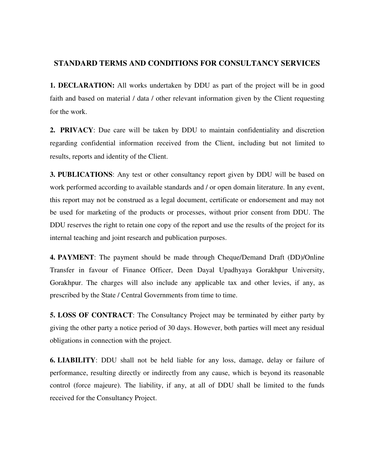### **STANDARD TERMS AND CONDITIONS FOR CONSULTANCY SERVICES**

**1. DECLARATION:** All works undertaken by DDU as part of the project will be in good faith and based on material / data / other relevant information given by the Client requesting for the work.

**2. PRIVACY**: Due care will be taken by DDU to maintain confidentiality and discretion regarding confidential information received from the Client, including but not limited to results, reports and identity of the Client.

**3. PUBLICATIONS**: Any test or other consultancy report given by DDU will be based on work performed according to available standards and / or open domain literature. In any event, this report may not be construed as a legal document, certificate or endorsement and may not be used for marketing of the products or processes, without prior consent from DDU. The DDU reserves the right to retain one copy of the report and use the results of the project for its internal teaching and joint research and publication purposes.

**4. PAYMENT**: The payment should be made through Cheque/Demand Draft (DD)/Online Transfer in favour of Finance Officer, Deen Dayal Upadhyaya Gorakhpur University, Gorakhpur. The charges will also include any applicable tax and other levies, if any, as prescribed by the State / Central Governments from time to time.

**5. LOSS OF CONTRACT**: The Consultancy Project may be terminated by either party by giving the other party a notice period of 30 days. However, both parties will meet any residual obligations in connection with the project.

**6. LIABILITY**: DDU shall not be held liable for any loss, damage, delay or failure of performance, resulting directly or indirectly from any cause, which is beyond its reasonable control (force majeure). The liability, if any, at all of DDU shall be limited to the funds received for the Consultancy Project.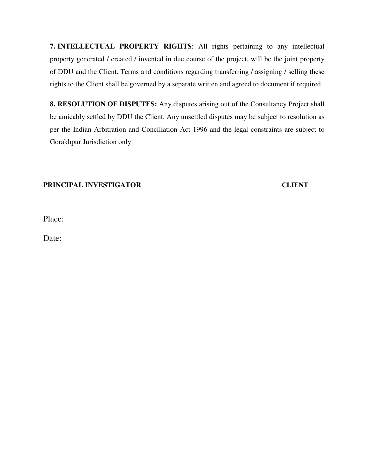**7. INTELLECTUAL PROPERTY RIGHTS**: All rights pertaining to any intellectual property generated / created / invented in due course of the project, will be the joint property of DDU and the Client. Terms and conditions regarding transferring / assigning / selling these rights to the Client shall be governed by a separate written and agreed to document if required.

**8. RESOLUTION OF DISPUTES:** Any disputes arising out of the Consultancy Project shall be amicably settled by DDU the Client. Any unsettled disputes may be subject to resolution as per the Indian Arbitration and Conciliation Act 1996 and the legal constraints are subject to Gorakhpur Jurisdiction only.

## **PRINCIPAL INVESTIGATOR CLIENT**

Place:

Date: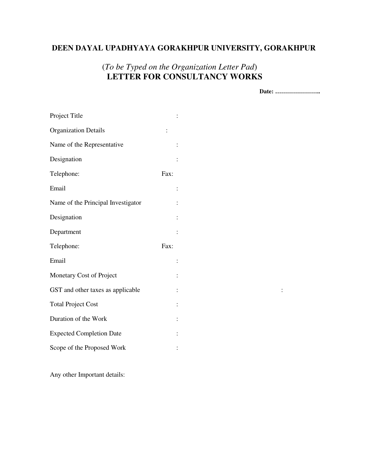## **DEEN DAYAL UPADHYAYA GORAKHPUR UNIVERSITY, GORAKHPUR**

## (*To be Typed on the Organization Letter Pad*) **LETTER FOR CONSULTANCY WORKS**

**Date: …………………..** 

| Project Title                      |                |  |
|------------------------------------|----------------|--|
| <b>Organization Details</b>        | $\ddot{\cdot}$ |  |
| Name of the Representative         |                |  |
| Designation                        |                |  |
| Telephone:                         | Fax:           |  |
| Email                              |                |  |
| Name of the Principal Investigator |                |  |
| Designation                        |                |  |
| Department                         |                |  |
| Telephone:                         | Fax:           |  |
| Email                              |                |  |
| Monetary Cost of Project           |                |  |
| GST and other taxes as applicable  |                |  |
| <b>Total Project Cost</b>          |                |  |
| Duration of the Work               |                |  |
| <b>Expected Completion Date</b>    |                |  |
| Scope of the Proposed Work         |                |  |

Any other Important details: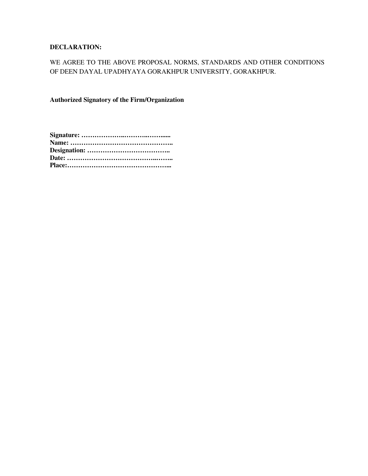## **DECLARATION:**

WE AGREE TO THE ABOVE PROPOSAL NORMS, STANDARDS AND OTHER CONDITIONS OF DEEN DAYAL UPADHYAYA GORAKHPUR UNIVERSITY, GORAKHPUR.

**Authorized Signatory of the Firm/Organization**